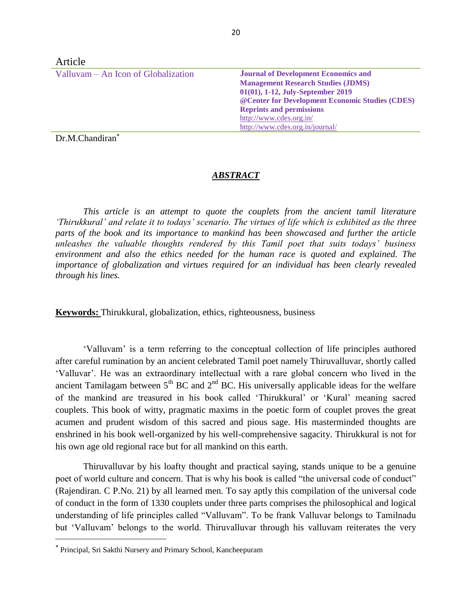| Article                             |                                                  |
|-------------------------------------|--------------------------------------------------|
| Valluvam – An Icon of Globalization | <b>Journal of Development Economics and</b>      |
|                                     | <b>Management Research Studies (JDMS)</b>        |
|                                     | 01(01), 1-12, July-September 2019                |
|                                     | @ Center for Development Economic Studies (CDES) |
|                                     | <b>Reprints and permissions</b>                  |
|                                     | http://www.cdes.org.in/                          |
|                                     | http://www.cdes.org.in/journal/                  |

Dr.M.Chandiran

## *ABSTRACT*

*This article is an attempt to quote the couplets from the ancient tamil literature 'Thirukkural' and relate it to todays' scenario. The virtues of life which is exhibited as the three parts of the book and its importance to mankind has been showcased and further the article unleashes the valuable thoughts rendered by this Tamil poet that suits todays' business environment and also the ethics needed for the human race is quoted and explained. The importance of globalization and virtues required for an individual has been clearly revealed through his lines.*

**Keywords:** Thirukkural, globalization, ethics, righteousness, business

'Valluvam' is a term referring to the conceptual collection of life principles authored after careful rumination by an ancient celebrated Tamil poet namely Thiruvalluvar, shortly called 'Valluvar'. He was an extraordinary intellectual with a rare global concern who lived in the ancient Tamilagam between  $5<sup>th</sup> BC$  and  $2<sup>nd</sup> BC$ . His universally applicable ideas for the welfare of the mankind are treasured in his book called 'Thirukkural' or 'Kural' meaning sacred couplets. This book of witty, pragmatic maxims in the poetic form of couplet proves the great acumen and prudent wisdom of this sacred and pious sage. His masterminded thoughts are enshrined in his book well-organized by his well-comprehensive sagacity. Thirukkural is not for his own age old regional race but for all mankind on this earth.

Thiruvalluvar by his loafty thought and practical saying, stands unique to be a genuine poet of world culture and concern. That is why his book is called "the universal code of conduct" (Rajendiran. C P.No. 21) by all learned men. To say aptly this compilation of the universal code of conduct in the form of 1330 couplets under three parts comprises the philosophical and logical understanding of life principles called "Valluvam". To be frank Valluvar belongs to Tamilnadu but 'Valluvam' belongs to the world. Thiruvalluvar through his valluvam reiterates the very

 $\overline{a}$ 

Principal, Sri Sakthi Nursery and Primary School, Kancheepuram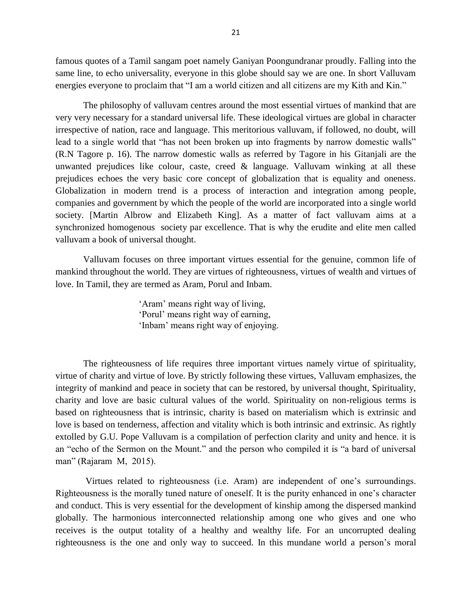famous quotes of a Tamil sangam poet namely Ganiyan Poongundranar proudly. Falling into the same line, to echo universality, everyone in this globe should say we are one. In short Valluvam energies everyone to proclaim that "I am a world citizen and all citizens are my Kith and Kin."

The philosophy of valluvam centres around the most essential virtues of mankind that are very very necessary for a standard universal life. These ideological virtues are global in character irrespective of nation, race and language. This meritorious valluvam, if followed, no doubt, will lead to a single world that "has not been broken up into fragments by narrow domestic walls" (R.N Tagore p. 16). The narrow domestic walls as referred by Tagore in his Gitanjali are the unwanted prejudices like colour, caste, creed  $\&$  language. Valluvam winking at all these prejudices echoes the very basic core concept of globalization that is equality and oneness. Globalization in modern trend is a process of interaction and integration among people, companies and government by which the people of the world are incorporated into a single world society. [Martin Albrow and Elizabeth King]. As a matter of fact valluvam aims at a synchronized homogenous society par excellence. That is why the erudite and elite men called valluvam a book of universal thought.

Valluvam focuses on three important virtues essential for the genuine, common life of mankind throughout the world. They are virtues of righteousness, virtues of wealth and virtues of love. In Tamil, they are termed as Aram, Porul and Inbam.

> 'Aram' means right way of living, 'Porul' means right way of earning, 'Inbam' means right way of enjoying.

The righteousness of life requires three important virtues namely virtue of spirituality, virtue of charity and virtue of love. By strictly following these virtues, Valluvam emphasizes, the integrity of mankind and peace in society that can be restored, by universal thought, Spirituality, charity and love are basic cultural values of the world. Spirituality on non-religious terms is based on righteousness that is intrinsic, charity is based on materialism which is extrinsic and love is based on tenderness, affection and vitality which is both intrinsic and extrinsic. As rightly extolled by G.U. Pope Valluvam is a compilation of perfection clarity and unity and hence. it is an "echo of the Sermon on the Mount." and the person who compiled it is "a bard of universal man" (Rajaram M, 2015).

Virtues related to righteousness (i.e. Aram) are independent of one's surroundings. Righteousness is the morally tuned nature of oneself. It is the purity enhanced in one's character and conduct. This is very essential for the development of kinship among the dispersed mankind globally. The harmonious interconnected relationship among one who gives and one who receives is the output totality of a healthy and wealthy life. For an uncorrupted dealing righteousness is the one and only way to succeed. In this mundane world a person's moral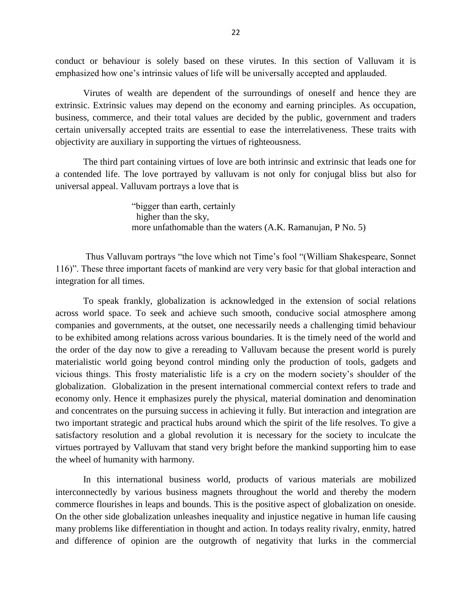conduct or behaviour is solely based on these virutes. In this section of Valluvam it is emphasized how one's intrinsic values of life will be universally accepted and applauded.

Virutes of wealth are dependent of the surroundings of oneself and hence they are extrinsic. Extrinsic values may depend on the economy and earning principles. As occupation, business, commerce, and their total values are decided by the public, government and traders certain universally accepted traits are essential to ease the interrelativeness. These traits with objectivity are auxiliary in supporting the virtues of righteousness.

The third part containing virtues of love are both intrinsic and extrinsic that leads one for a contended life. The love portrayed by valluvam is not only for conjugal bliss but also for universal appeal. Valluvam portrays a love that is

> "bigger than earth, certainly higher than the sky, more unfathomable than the waters (A.K. Ramanujan, P No. 5)

Thus Valluvam portrays "the love which not Time's fool "(William Shakespeare, Sonnet 116)". These three important facets of mankind are very very basic for that global interaction and integration for all times.

To speak frankly, globalization is acknowledged in the extension of social relations across world space. To seek and achieve such smooth, conducive social atmosphere among companies and governments, at the outset, one necessarily needs a challenging timid behaviour to be exhibited among relations across various boundaries. It is the timely need of the world and the order of the day now to give a rereading to Valluvam because the present world is purely materialistic world going beyond control minding only the production of tools, gadgets and vicious things. This frosty materialistic life is a cry on the modern society's shoulder of the globalization. Globalization in the present international commercial context refers to trade and economy only. Hence it emphasizes purely the physical, material domination and denomination and concentrates on the pursuing success in achieving it fully. But interaction and integration are two important strategic and practical hubs around which the spirit of the life resolves. To give a satisfactory resolution and a global revolution it is necessary for the society to inculcate the virtues portrayed by Valluvam that stand very bright before the mankind supporting him to ease the wheel of humanity with harmony.

In this international business world, products of various materials are mobilized interconnectedly by various business magnets throughout the world and thereby the modern commerce flourishes in leaps and bounds. This is the positive aspect of globalization on oneside. On the other side globalization unleashes inequality and injustice negative in human life causing many problems like differentiation in thought and action. In todays reality rivalry, enmity, hatred and difference of opinion are the outgrowth of negativity that lurks in the commercial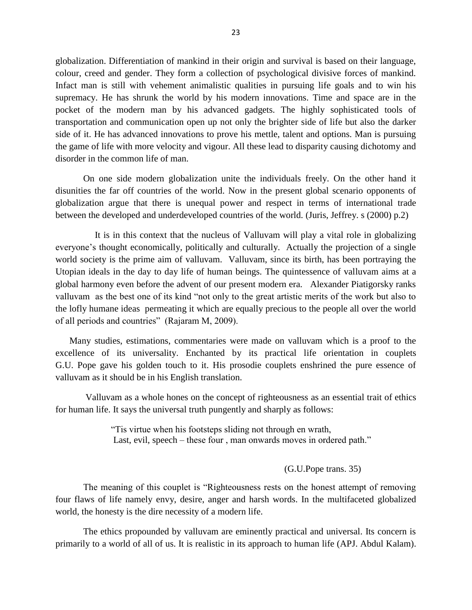globalization. Differentiation of mankind in their origin and survival is based on their language, colour, creed and gender. They form a collection of psychological divisive forces of mankind. Infact man is still with vehement animalistic qualities in pursuing life goals and to win his supremacy. He has shrunk the world by his modern innovations. Time and space are in the pocket of the modern man by his advanced gadgets. The highly sophisticated tools of transportation and communication open up not only the brighter side of life but also the darker side of it. He has advanced innovations to prove his mettle, talent and options. Man is pursuing the game of life with more velocity and vigour. All these lead to disparity causing dichotomy and disorder in the common life of man.

On one side modern globalization unite the individuals freely. On the other hand it disunities the far off countries of the world. Now in the present global scenario opponents of globalization argue that there is unequal power and respect in terms of international trade between the developed and underdeveloped countries of the world. (Juris, Jeffrey. s (2000) p.2)

 It is in this context that the nucleus of Valluvam will play a vital role in globalizing everyone's thought economically, politically and culturally. Actually the projection of a single world society is the prime aim of valluvam. Valluvam, since its birth, has been portraying the Utopian ideals in the day to day life of human beings. The quintessence of valluvam aims at a global harmony even before the advent of our present modern era. Alexander Piatigorsky ranks valluvam as the best one of its kind "not only to the great artistic merits of the work but also to the lofly humane ideas permeating it which are equally precious to the people all over the world of all periods and countries" (Rajaram M, 2009).

 Many studies, estimations, commentaries were made on valluvam which is a proof to the excellence of its universality. Enchanted by its practical life orientation in couplets G.U. Pope gave his golden touch to it. His prosodie couplets enshrined the pure essence of valluvam as it should be in his English translation.

Valluvam as a whole hones on the concept of righteousness as an essential trait of ethics for human life. It says the universal truth pungently and sharply as follows:

> "Tis virtue when his footsteps sliding not through en wrath, Last, evil, speech – these four, man onwards moves in ordered path."

> > (G.U.Pope trans. 35)

The meaning of this couplet is "Righteousness rests on the honest attempt of removing four flaws of life namely envy, desire, anger and harsh words. In the multifaceted globalized world, the honesty is the dire necessity of a modern life.

The ethics propounded by valluvam are eminently practical and universal. Its concern is primarily to a world of all of us. It is realistic in its approach to human life (APJ. Abdul Kalam).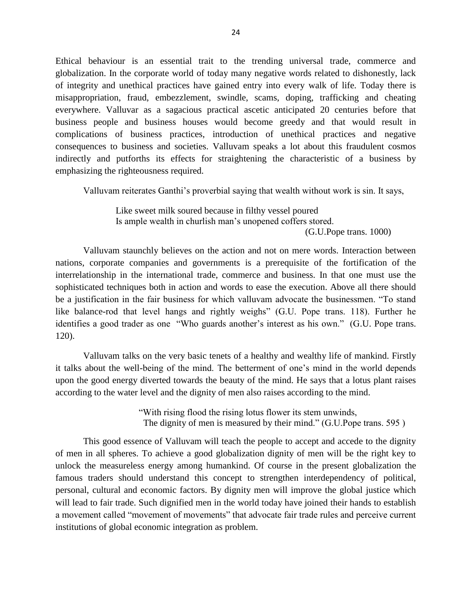Ethical behaviour is an essential trait to the trending universal trade, commerce and globalization. In the corporate world of today many negative words related to dishonestly, lack of integrity and unethical practices have gained entry into every walk of life. Today there is misappropriation, fraud, embezzlement, swindle, scams, doping, trafficking and cheating everywhere. Valluvar as a sagacious practical ascetic anticipated 20 centuries before that business people and business houses would become greedy and that would result in complications of business practices, introduction of unethical practices and negative consequences to business and societies. Valluvam speaks a lot about this fraudulent cosmos indirectly and putforths its effects for straightening the characteristic of a business by emphasizing the righteousness required.

Valluvam reiterates Ganthi's proverbial saying that wealth without work is sin. It says,

 Like sweet milk soured because in filthy vessel poured Is ample wealth in churlish man's unopened coffers stored.

(G.U.Pope trans. 1000)

 Valluvam staunchly believes on the action and not on mere words. Interaction between nations, corporate companies and governments is a prerequisite of the fortification of the interrelationship in the international trade, commerce and business. In that one must use the sophisticated techniques both in action and words to ease the execution. Above all there should be a justification in the fair business for which valluvam advocate the businessmen. "To stand like balance-rod that level hangs and rightly weighs" (G.U. Pope trans. 118). Further he identifies a good trader as one "Who guards another's interest as his own." (G.U. Pope trans. 120).

Valluvam talks on the very basic tenets of a healthy and wealthy life of mankind. Firstly it talks about the well-being of the mind. The betterment of one's mind in the world depends upon the good energy diverted towards the beauty of the mind. He says that a lotus plant raises according to the water level and the dignity of men also raises according to the mind.

> "With rising flood the rising lotus flower its stem unwinds, The dignity of men is measured by their mind." (G.U.Pope trans. 595 )

This good essence of Valluvam will teach the people to accept and accede to the dignity of men in all spheres. To achieve a good globalization dignity of men will be the right key to unlock the measureless energy among humankind. Of course in the present globalization the famous traders should understand this concept to strengthen interdependency of political, personal, cultural and economic factors. By dignity men will improve the global justice which will lead to fair trade. Such dignified men in the world today have joined their hands to establish a movement called "movement of movements" that advocate fair trade rules and perceive current institutions of global economic integration as problem.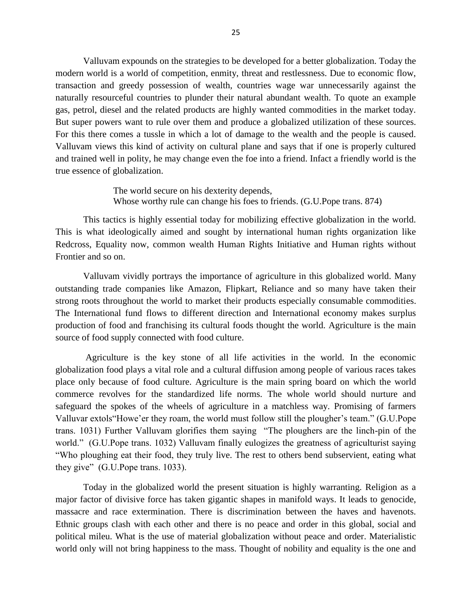Valluvam expounds on the strategies to be developed for a better globalization. Today the modern world is a world of competition, enmity, threat and restlessness. Due to economic flow, transaction and greedy possession of wealth, countries wage war unnecessarily against the naturally resourceful countries to plunder their natural abundant wealth. To quote an example gas, petrol, diesel and the related products are highly wanted commodities in the market today. But super powers want to rule over them and produce a globalized utilization of these sources. For this there comes a tussle in which a lot of damage to the wealth and the people is caused. Valluvam views this kind of activity on cultural plane and says that if one is properly cultured and trained well in polity, he may change even the foe into a friend. Infact a friendly world is the true essence of globalization.

> The world secure on his dexterity depends, Whose worthy rule can change his foes to friends. (G.U.Pope trans. 874)

This tactics is highly essential today for mobilizing effective globalization in the world. This is what ideologically aimed and sought by international human rights organization like Redcross, Equality now, common wealth Human Rights Initiative and Human rights without Frontier and so on.

Valluvam vividly portrays the importance of agriculture in this globalized world. Many outstanding trade companies like Amazon, Flipkart, Reliance and so many have taken their strong roots throughout the world to market their products especially consumable commodities. The International fund flows to different direction and International economy makes surplus production of food and franchising its cultural foods thought the world. Agriculture is the main source of food supply connected with food culture.

Agriculture is the key stone of all life activities in the world. In the economic globalization food plays a vital role and a cultural diffusion among people of various races takes place only because of food culture. Agriculture is the main spring board on which the world commerce revolves for the standardized life norms. The whole world should nurture and safeguard the spokes of the wheels of agriculture in a matchless way. Promising of farmers Valluvar extols"Howe'er they roam, the world must follow still the plougher's team." (G.U.Pope trans. 1031) Further Valluvam glorifies them saying "The ploughers are the linch-pin of the world." (G.U.Pope trans. 1032) Valluvam finally eulogizes the greatness of agriculturist saying "Who ploughing eat their food, they truly live. The rest to others bend subservient, eating what they give" (G.U.Pope trans. 1033).

Today in the globalized world the present situation is highly warranting. Religion as a major factor of divisive force has taken gigantic shapes in manifold ways. It leads to genocide, massacre and race extermination. There is discrimination between the haves and havenots. Ethnic groups clash with each other and there is no peace and order in this global, social and political mileu. What is the use of material globalization without peace and order. Materialistic world only will not bring happiness to the mass. Thought of nobility and equality is the one and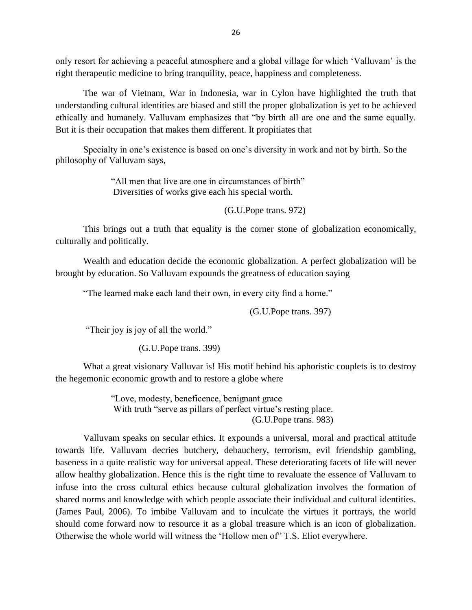only resort for achieving a peaceful atmosphere and a global village for which 'Valluvam' is the right therapeutic medicine to bring tranquility, peace, happiness and completeness.

The war of Vietnam, War in Indonesia, war in Cylon have highlighted the truth that understanding cultural identities are biased and still the proper globalization is yet to be achieved ethically and humanely. Valluvam emphasizes that "by birth all are one and the same equally. But it is their occupation that makes them different. It propitiates that

Specialty in one's existence is based on one's diversity in work and not by birth. So the philosophy of Valluvam says,

> "All men that live are one in circumstances of birth" Diversities of works give each his special worth.

> > (G.U.Pope trans. 972)

This brings out a truth that equality is the corner stone of globalization economically, culturally and politically.

Wealth and education decide the economic globalization. A perfect globalization will be brought by education. So Valluvam expounds the greatness of education saying

"The learned make each land their own, in every city find a home."

(G.U.Pope trans. 397)

"Their joy is joy of all the world."

(G.U.Pope trans. 399)

What a great visionary Valluvar is! His motif behind his aphoristic couplets is to destroy the hegemonic economic growth and to restore a globe where

> "Love, modesty, beneficence, benignant grace With truth "serve as pillars of perfect virtue's resting place. (G.U.Pope trans. 983)

Valluvam speaks on secular ethics. It expounds a universal, moral and practical attitude towards life. Valluvam decries butchery, debauchery, terrorism, evil friendship gambling, baseness in a quite realistic way for universal appeal. These deteriorating facets of life will never allow healthy globalization. Hence this is the right time to revaluate the essence of Valluvam to infuse into the cross cultural ethics because cultural globalization involves the formation of shared norms and knowledge with which people associate their individual and cultural identities. (James Paul, 2006). To imbibe Valluvam and to inculcate the virtues it portrays, the world should come forward now to resource it as a global treasure which is an icon of globalization. Otherwise the whole world will witness the 'Hollow men of" T.S. Eliot everywhere.